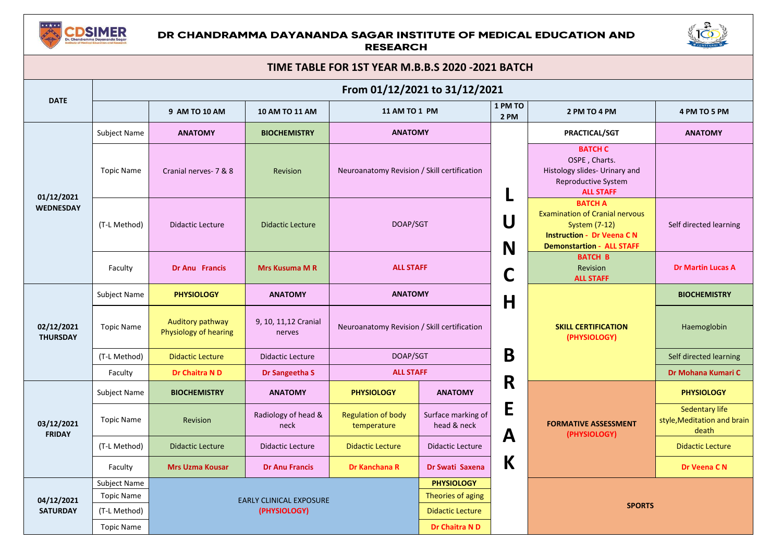

## DR CHANDRAMMA DAYANANDA SAGAR INSTITUTE OF MEDICAL EDUCATION AND **RESEARCH**



| TIME TABLE FOR 1ST YEAR M.B.B.S 2020 -2021 BATCH |                               |                                                |                                 |                                             |                                   |                  |                                                                                                                                                         |                                                        |  |  |  |
|--------------------------------------------------|-------------------------------|------------------------------------------------|---------------------------------|---------------------------------------------|-----------------------------------|------------------|---------------------------------------------------------------------------------------------------------------------------------------------------------|--------------------------------------------------------|--|--|--|
|                                                  | From 01/12/2021 to 31/12/2021 |                                                |                                 |                                             |                                   |                  |                                                                                                                                                         |                                                        |  |  |  |
| <b>DATE</b>                                      |                               | 9 AM TO 10 AM                                  | 10 AM TO 11 AM                  | 11 AM TO 1 PM                               |                                   | 1 PM TO<br>2 PM  | 2 PM TO 4 PM                                                                                                                                            | 4 PM TO 5 PM                                           |  |  |  |
| 01/12/2021<br><b>WEDNESDAY</b>                   | Subject Name                  | <b>ANATOMY</b>                                 | <b>BIOCHEMISTRY</b>             | <b>ANATOMY</b>                              |                                   |                  | <b>PRACTICAL/SGT</b>                                                                                                                                    | <b>ANATOMY</b>                                         |  |  |  |
|                                                  | <b>Topic Name</b>             | Cranial nerves- 7 & 8                          | Revision                        | Neuroanatomy Revision / Skill certification |                                   |                  | <b>BATCH C</b><br>OSPE, Charts.<br>Histology slides- Urinary and<br>Reproductive System<br><b>ALL STAFF</b>                                             |                                                        |  |  |  |
|                                                  | (T-L Method)                  | <b>Didactic Lecture</b>                        | <b>Didactic Lecture</b>         | DOAP/SGT                                    | U<br>N                            |                  | <b>BATCH A</b><br><b>Examination of Cranial nervous</b><br><b>System (7-12)</b><br><b>Instruction - Dr Veena CN</b><br><b>Demonstartion - ALL STAFF</b> | Self directed learning                                 |  |  |  |
|                                                  | Faculty                       | <b>Dr Anu Francis</b>                          | <b>Mrs Kusuma M R</b>           | <b>ALL STAFF</b>                            |                                   | C                | <b>BATCH B</b><br><b>Revision</b><br><b>ALL STAFF</b>                                                                                                   | <b>Dr Martin Lucas A</b>                               |  |  |  |
| 02/12/2021<br><b>THURSDAY</b>                    | Subject Name                  | <b>PHYSIOLOGY</b>                              | <b>ANATOMY</b>                  | <b>ANATOMY</b>                              |                                   | $\mathsf{H}$     | <b>SKILL CERTIFICATION</b><br>(PHYSIOLOGY)                                                                                                              | <b>BIOCHEMISTRY</b>                                    |  |  |  |
|                                                  | <b>Topic Name</b>             | Auditory pathway<br>Physiology of hearing      | 9, 10, 11, 12 Cranial<br>nerves | Neuroanatomy Revision / Skill certification |                                   |                  |                                                                                                                                                         | Haemoglobin                                            |  |  |  |
|                                                  | (T-L Method)                  | <b>Didactic Lecture</b>                        | <b>Didactic Lecture</b>         | DOAP/SGT                                    |                                   | B                |                                                                                                                                                         | Self directed learning                                 |  |  |  |
|                                                  | Faculty                       | Dr Chaitra N D                                 | Dr Sangeetha S                  | <b>ALL STAFF</b>                            |                                   |                  |                                                                                                                                                         | Dr Mohana Kumari C                                     |  |  |  |
| 03/12/2021<br><b>FRIDAY</b>                      | Subject Name                  | <b>BIOCHEMISTRY</b>                            | <b>ANATOMY</b>                  | <b>PHYSIOLOGY</b>                           | <b>ANATOMY</b>                    | R                | <b>FORMATIVE ASSESSMENT</b><br>(PHYSIOLOGY)                                                                                                             | <b>PHYSIOLOGY</b>                                      |  |  |  |
|                                                  | <b>Topic Name</b>             | Revision                                       | Radiology of head &<br>neck     | <b>Regulation of body</b><br>temperature    | Surface marking of<br>head & neck | E<br>$\mathbf A$ |                                                                                                                                                         | Sedentary life<br>style, Meditation and brain<br>death |  |  |  |
|                                                  | (T-L Method)                  | <b>Didactic Lecture</b>                        | <b>Didactic Lecture</b>         | <b>Didactic Lecture</b>                     | <b>Didactic Lecture</b>           |                  |                                                                                                                                                         | <b>Didactic Lecture</b>                                |  |  |  |
|                                                  | Faculty                       | <b>Mrs Uzma Kousar</b>                         | <b>Dr Anu Francis</b>           | Dr Kanchana R                               | Dr Swati Saxena                   | $\mathsf K$      |                                                                                                                                                         | Dr Veena C N                                           |  |  |  |
| 04/12/2021<br><b>SATURDAY</b>                    | Subject Name                  |                                                |                                 | <b>PHYSIOLOGY</b>                           |                                   |                  |                                                                                                                                                         |                                                        |  |  |  |
|                                                  | <b>Topic Name</b>             | <b>EARLY CLINICAL EXPOSURE</b><br>(PHYSIOLOGY) |                                 |                                             | Theories of aging                 |                  |                                                                                                                                                         |                                                        |  |  |  |
|                                                  | (T-L Method)                  |                                                |                                 |                                             | <b>Didactic Lecture</b>           |                  | <b>SPORTS</b>                                                                                                                                           |                                                        |  |  |  |
|                                                  | <b>Topic Name</b>             |                                                |                                 |                                             | <b>Dr Chaitra ND</b>              |                  |                                                                                                                                                         |                                                        |  |  |  |